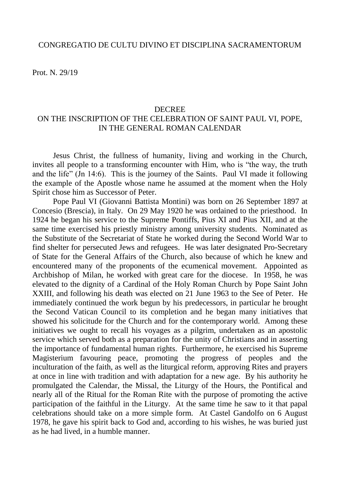Prot. N. 29/19

## DECREE

## ON THE INSCRIPTION OF THE CELEBRATION OF SAINT PAUL VI, POPE, IN THE GENERAL ROMAN CALENDAR

Jesus Christ, the fullness of humanity, living and working in the Church, invites all people to a transforming encounter with Him, who is "the way, the truth and the life" (Jn 14:6). This is the journey of the Saints. Paul VI made it following the example of the Apostle whose name he assumed at the moment when the Holy Spirit chose him as Successor of Peter.

Pope Paul VI (Giovanni Battista Montini) was born on 26 September 1897 at Concesio (Brescia), in Italy. On 29 May 1920 he was ordained to the priesthood. In 1924 he began his service to the Supreme Pontiffs, Pius XI and Pius XII, and at the same time exercised his priestly ministry among university students. Nominated as the Substitute of the Secretariat of State he worked during the Second World War to find shelter for persecuted Jews and refugees. He was later designated Pro-Secretary of State for the General Affairs of the Church, also because of which he knew and encountered many of the proponents of the ecumenical movement. Appointed as Archbishop of Milan, he worked with great care for the diocese. In 1958, he was elevated to the dignity of a Cardinal of the Holy Roman Church by Pope Saint John XXIII, and following his death was elected on 21 June 1963 to the See of Peter. He immediately continued the work begun by his predecessors, in particular he brought the Second Vatican Council to its completion and he began many initiatives that showed his solicitude for the Church and for the contemporary world. Among these initiatives we ought to recall his voyages as a pilgrim, undertaken as an apostolic service which served both as a preparation for the unity of Christians and in asserting the importance of fundamental human rights. Furthermore, he exercised his Supreme Magisterium favouring peace, promoting the progress of peoples and the inculturation of the faith, as well as the liturgical reform, approving Rites and prayers at once in line with tradition and with adaptation for a new age. By his authority he promulgated the Calendar, the Missal, the Liturgy of the Hours, the Pontifical and nearly all of the Ritual for the Roman Rite with the purpose of promoting the active participation of the faithful in the Liturgy. At the same time he saw to it that papal celebrations should take on a more simple form. At Castel Gandolfo on 6 August 1978, he gave his spirit back to God and, according to his wishes, he was buried just as he had lived, in a humble manner.